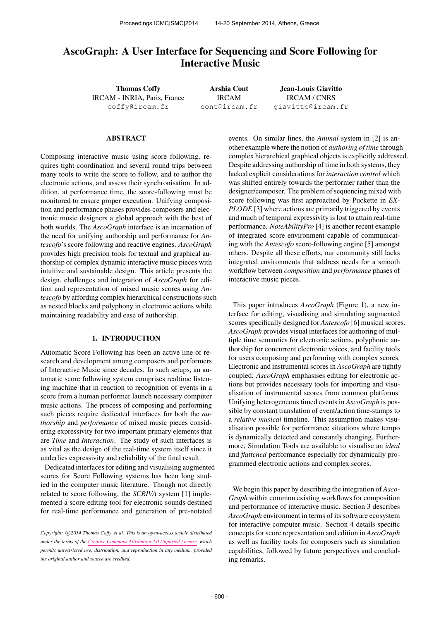# AscoGraph: A User Interface for Sequencing and Score Following for Interactive Music

Thomas Coffy IRCAM - INRIA, Paris, France [coffy@ircam.fr](mailto:coffy@ircam.fr)

Arshia Cont IRCAM [cont@ircam.fr](mailto:cont@ircam.fr)

Jean-Louis Giavitto IRCAM / CNRS [giavitto@ircam.fr](mailto:giavitto@ircam.fr)

#### ABSTRACT

Composing interactive music using score following, requires tight coordination and several round trips between many tools to write the score to follow, and to author the electronic actions, and assess their synchronisation. In addition, at performance time, the score-following must be monitored to ensure proper execution. Unifying composition and performance phases provides composers and electronic music designers a global approach with the best of both worlds. The *AscoGraph* interface is an incarnation of the need for unifying authorship and performance for *Antescofo*'s score following and reactive engines. *AscoGraph* provides high precision tools for textual and graphical authorship of complex dynamic interactive music pieces with intuitive and sustainable design. This article presents the design, challenges and integration of *AscoGraph* for edition and representation of mixed music scores using *Antescofo* by affording complex hierarchical constructions such as nested blocks and polyphony in electronic actions while maintaining readability and ease of authorship.

# 1. INTRODUCTION

Automatic Score Following has been an active line of research and development among composers and performers of Interactive Music since decades. In such setups, an automatic score following system comprises realtime listening machine that in reaction to recognition of events in a score from a human performer launch necessary computer music actions. The process of composing and performing such pieces require dedicated interfaces for both the *authorship* and *performance* of mixed music pieces considering expressivity for two important primary elements that are *Time* and *Interaction*. The study of such interfaces is as vital as the design of the real-time system itself since it underlies expressivity and reliability of the final result.

Dedicated interfaces for editing and visualising augmented scores for Score Following systems has been long studied in the computer music literature. Though not directly related to score following, the *SCRIVA* system [1] implemented a score editing tool for electronic sounds destined for real-time performance and generation of pre-notated

events. On similar lines, the *Animal* system in [2] is another example where the notion of *authoring of time* through complex hierarchical graphical objects is explicitly addressed. Despite addressing authorship of time in both systems, they lacked explicit considerations for *interaction control* which was shifted entirely towards the performer rather than the designer/composer. The problem of sequencing mixed with score following was first approached by Puckette in *EX-PLODE* [3] where actions are primarily triggered by events and much of temporal expressivity is lost to attain real-time performance. *NoteAbilityPro* [4] is another recent example of integrated score environment capable of communicating with the *Antescofo* score-following engine [5] amongst others. Despite all these efforts, our community still lacks integrated environments that address needs for a smooth workflow between *composition* and *performance* phases of interactive music pieces.

This paper introduces *AscoGraph* (Figure 1), a new interface for editing, visualising and simulating augmented scores specifically designed for *Antescofo* [6] musical scores. *AscoGraph* provides visual interfaces for authoring of multiple time semantics for electronic actions, polyphonic authorship for concurrent electronic voices, and facility tools for users composing and performing with complex scores. Electronic and instrumental scores in *AscoGraph* are tightly coupled. *AscoGraph* emphasises editing for electronic actions but provides necessary tools for importing and visualisation of instrumental scores from common platforms. Unifying heterogeneous timed events in *AscoGraph* is possible by constant translation of event/action time-stamps to a *relative musical* timeline. This assumption makes visualisation possible for performance situations where tempo is dynamically detected and constantly changing. Furthermore, Simulation Tools are available to visualise an *ideal* and *flattened* performance especially for dynamically programmed electronic actions and complex scores.

We begin this paper by describing the integration of *Asco-Graph* within common existing workflows for composition and performance of interactive music. Section 3 describes *AscoGraph* environment in terms of its software ecosystem for interactive computer music. Section 4 details specific concepts for score representation and edition in *AscoGraph* as well as facility tools for composers such as simulation capabilities, followed by future perspectives and concluding remarks.

Copyright:  $\bigcirc$  2014 Thomas Coffy et al. This is an open-access article distributed *under the terms of the [Creative Commons Attribution 3.0 Unported License,](http://creativecommons.org/licenses/by/3.0/) which permits unrestricted use, distribution, and reproduction in any medium, provided the original author and source are credited.*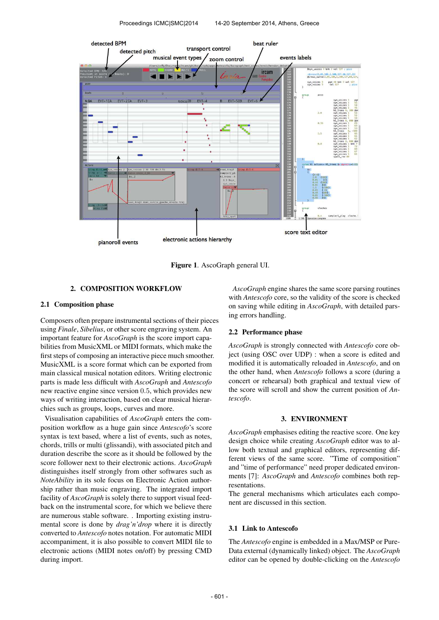

Figure 1. AscoGraph general UI.

# 2. COMPOSITION WORKFLOW

#### 2.1 Composition phase

Composers often prepare instrumental sections of their pieces using *Finale*, *Sibelius*, or other score engraving system. An important feature for *AscoGraph* is the score import capabilities from MusicXML or MIDI formats, which make the first steps of composing an interactive piece much smoother. MusicXML is a score format which can be exported from main classical musical notation editors. Writing electronic parts is made less difficult with *AscoGraph* and *Antescofo* new reactive engine since version 0.5, which provides new ways of writing interaction, based on clear musical hierarchies such as groups, loops, curves and more.

Visualisation capabilities of *AscoGraph* enters the composition workflow as a huge gain since *Antescofo*'s score syntax is text based, where a list of events, such as notes, chords, trills or multi (glissandi), with associated pitch and duration describe the score as it should be followed by the score follower next to their electronic actions. *AscoGraph* distinguishes itself strongly from other softwares such as *NoteAbility* in its sole focus on Electronic Action authorship rather than music engraving. The integrated import facility of *AscoGraph* is solely there to support visual feedback on the instrumental score, for which we believe there are numerous stable software. . Importing existing instrumental score is done by *drag'n'drop* where it is directly converted to *Antescofo* notes notation. For automatic MIDI accompaniment, it is also possible to convert MIDI file to electronic actions (MIDI notes on/off) by pressing CMD during import.

*AscoGraph* engine shares the same score parsing routines with *Antescofo* core, so the validity of the score is checked on saving while editing in *AscoGraph*, with detailed parsing errors handling.

# 2.2 Performance phase

*AscoGraph* is strongly connected with *Antescofo* core object (using OSC over UDP) : when a score is edited and modified it is automatically reloaded in *Antescofo*, and on the other hand, when *Antescofo* follows a score (during a concert or rehearsal) both graphical and textual view of the score will scroll and show the current position of *Antescofo*.

#### 3. ENVIRONMENT

*AscoGraph* emphasises editing the reactive score. One key design choice while creating *AscoGraph* editor was to allow both textual and graphical editors, representing different views of the same score. "Time of composition" and "time of performance" need proper dedicated environments [7]: *AscoGraph* and *Antescofo* combines both representations.

The general mechanisms which articulates each component are discussed in this section.

# 3.1 Link to Antescofo

The *Antescofo* engine is embedded in a Max/MSP or Pure-Data external (dynamically linked) object. The *AscoGraph* editor can be opened by double-clicking on the *Antescofo*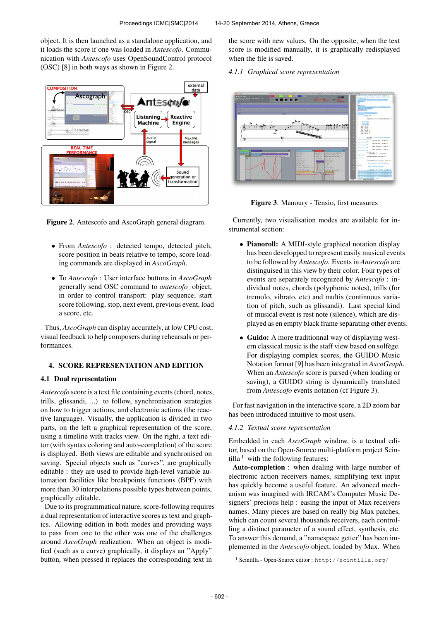object. It is then launched as a standalone application, and it loads the score if one was loaded in *Antescofo*. Communication with *Antescofo* uses OpenSoundControl protocol (OSC) [8] in both ways as shown in Figure 2.



Figure 2. Antescofo and AscoGraph general diagram.

- From *Antescofo* : detected tempo, detected pitch, score position in beats relative to tempo, score loading commands are displayed in *AscoGraph*.
- To *Antescofo* : User interface buttons in *AscoGraph* generally send OSC command to *antescofo* object, in order to control transport: play sequence, start score following, stop, next event, previous event, load a score, etc.

Thus, *AscoGraph* can display accurately, at low CPU cost, visual feedback to help composers during rehearsals or performances.

# 4. SCORE REPRESENTATION AND EDITION

#### 4.1 Dual representation

*Antescofo* score is a text file containing events (chord, notes, trills, glissandi, ...) to follow, synchronisation strategies on how to trigger actions, and electronic actions (the reactive language). Visually, the application is divided in two parts, on the left a graphical representation of the score, using a timeline with tracks view. On the right, a text editor (with syntax coloring and auto-completion) of the score is displayed. Both views are editable and synchronised on saving. Special objects such as "curves", are graphically editable : they are used to provide high-level variable automation facilities like breakpoints functions (BPF) with more than 30 interpolations possible types between points, graphically editable.

Due to its programmatical nature, score-following requires a dual representation of interactive scores as text and graphics. Allowing edition in both modes and providing ways to pass from one to the other was one of the challenges around *AscoGraph* realization. When an object is modified (such as a curve) graphically, it displays an "Apply" button, when pressed it replaces the corresponding text in

the score with new values. On the opposite, when the text score is modified manually, it is graphically redisplayed when the file is saved.

*4.1.1 Graphical score representation*



Figure 3. Manoury - Tensio, first measures

Currently, two visualisation modes are available for instrumental section:

- Pianoroll: A MIDI-style graphical notation display has been developped to represent easily musical events to be followed by *Antescofo*. Events in *Antescofo* are distinguised in this view by their color. Four types of events are separately recognized by *Antescofo* : individual notes, chords (polyphonic notes), trills (for tremolo, vibrato, etc) and multis (continuous variation of pitch, such as glissandi). Last special kind of musical event is rest note (silence), which are displayed as en empty black frame separating other events.
- Guido: A more traditionnal way of displaying western classical music is the staff view based on solfege. For displaying complex scores, the GUIDO Music Notation format [9] has been integrated in *AscoGraph*. When an *Antescofo* score is parsed (when loading or saving), a GUIDO string is dynamically translated from *Antescofo* events notation (cf Figure 3).

For fast navigation in the interactive score, a 2D zoom bar has been introduced intuitive to most users.

# *4.1.2 Textual score representation*

Embedded in each *AscoGraph* window, is a textual editor, based on the Open-Source multi-platform project Scintilla  $1$  with the following features:

Auto-completion : when dealing with large number of electronic action receivers names, simplifying text input has quickly become a useful feature. An advanced mechanism was imagined with IRCAM's Computer Music Designers' precious help : easing the input of Max receivers names. Many pieces are based on really big Max patches, which can count several thousands receivers, each controlling a distinct parameter of a sound effect, synthesis, etc. To answer this demand, a "namespace getter" has been implemented in the *Antescofo* object, loaded by Max. When

<sup>1</sup> Scintilla - Open-Source editor : <http://scintilla.org/>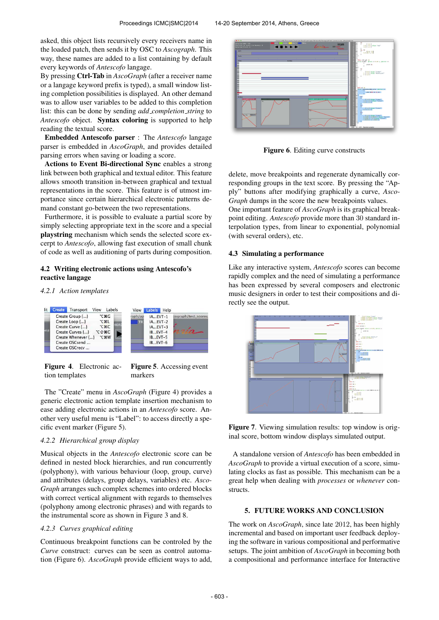asked, this object lists recursively every receivers name in the loaded patch, then sends it by OSC to *Ascograph*. This way, these names are added to a list containing by default every keywords of *Antescofo* langage.

By pressing Ctrl-Tab in *AscoGraph* (after a receiver name or a langage keyword prefix is typed), a small window listing completion possibilities is displayed. An other demand was to allow user variables to be added to this completion list: this can be done by sending *add completion string* to *Antescofo* object. Syntax coloring is supported to help reading the textual score.

Embedded Antescofo parser : The *Antescofo* langage parser is embedded in *AscoGraph*, and provides detailed parsing errors when saving or loading a score.

Actions to Event Bi-directional Sync enables a strong link between both graphical and textual editor. This feature allows smooth transition in-between graphical and textual representations in the score. This feature is of utmost importance since certain hierarchical electronic patterns demand constant go-between the two representations.

Furthermore, it is possible to evaluate a partial score by simply selecting appropriate text in the score and a special playstring mechanism which sends the selected score excerpt to *Antescofo*, allowing fast execution of small chunk of code as well as auditioning of parts during composition.

# 4.2 Writing electronic actions using Antescofo's reactive langage

#### *4.2.1 Action templates*



Figure 4. Electronic action templates

The "Create" menu in *AscoGraph* (Figure 4) provides a generic electronic action template insertion mechanism to ease adding electronic actions in an *Antescofo* score. Another very useful menu is "Label": to access directly a specific event marker (Figure 5).

# *4.2.2 Hierarchical group display*

Musical objects in the *Antescofo* electronic score can be defined in nested block hierarchies, and run concurrently (polyphony), with various behaviour (loop, group, curve) and attributes (delays, group delays, variables) etc. *Asco-Graph* arranges such complex schemes into ordered blocks with correct vertical alignment with regards to themselves (polyphony among electronic phrases) and with regards to the instrumental score as shown in Figure 3 and 8.

### *4.2.3 Curves graphical editing*

Continuous breakpoint functions can be controled by the *Curve* construct: curves can be seen as control automation (Figure 6). *AscoGraph* provide efficient ways to add,



Figure 6. Editing curve constructs

delete, move breakpoints and regenerate dynamically corresponding groups in the text score. By pressing the "Apply" buttons after modifying graphically a curve, *Asco-Graph* dumps in the score the new breakpoints values.

One important feature of *AscoGraph* is its graphical breakpoint editing. *Antescofo* provide more than 30 standard interpolation types, from linear to exponential, polynomial (with several orders), etc.

#### 4.3 Simulating a performance

Like any interactive system, *Antescofo* scores can become rapidly complex and the need of simulating a performance has been expressed by several composers and electronic music designers in order to test their compositions and directly see the output.



Figure 7. Viewing simulation results: top window is original score, bottom window displays simulated output.

A standalone version of *Antescofo* has been embedded in *AscoGraph* to provide a virtual execution of a score, simulating clocks as fast as possible. This mechanism can be a great help when dealing with *processes* or *whenever* constructs.

# 5. FUTURE WORKS AND CONCLUSION

The work on *AscoGraph*, since late 2012, has been highly incremental and based on important user feedback deploying the software in various compositional and performative setups. The joint ambition of *AscoGraph* in becoming both a compositional and performance interface for Interactive

Figure 5. Accessing event markers